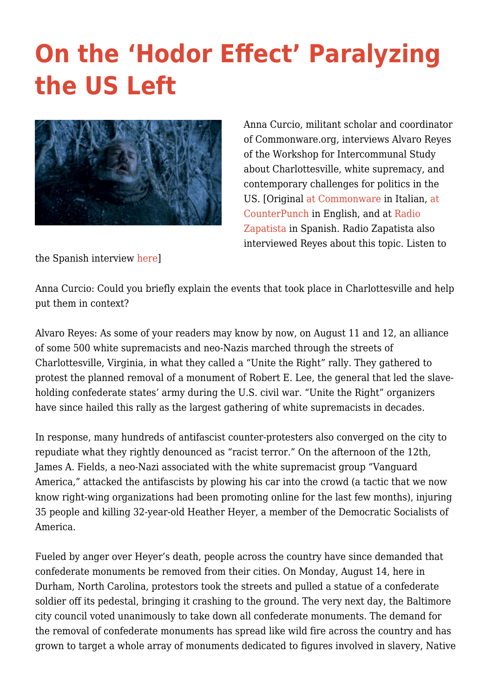## **[On the 'Hodor Effect' Paralyzing](https://intercommunalworkshop.org/on-the-hodor-effect-paralyzing-the-us-left/) [the US Left](https://intercommunalworkshop.org/on-the-hodor-effect-paralyzing-the-us-left/)**



Anna Curcio, militant scholar and coordinator of Commonware.org, interviews Alvaro Reyes of the Workshop for Intercommunal Study about Charlottesville, white supremacy, and contemporary challenges for politics in the US. [Original [at Commonware](http://www.commonware.org/index.php/cartografia/786-intervistaalvaroreyes-charlottesville) in Italian, [at](https://www.counterpunch.org/2017/09/12/the-hodor-effect-that-paralyzes-the-us/) [CounterPunch](https://www.counterpunch.org/2017/09/12/the-hodor-effect-that-paralyzes-the-us/) in English, and at [Radio](http://radiozapatista.org/?p=23123) [Zapatista](http://radiozapatista.org/?p=23123) in Spanish. Radio Zapatista also interviewed Reyes about this topic. Listen to

the Spanish interview [here](http://radiozapatista.org/?p=24356)]

Anna Curcio: Could you briefly explain the events that took place in Charlottesville and help put them in context?

Alvaro Reyes: As some of your readers may know by now, on August 11 and 12, an alliance of some 500 white supremacists and neo-Nazis marched through the streets of Charlottesville, Virginia, in what they called a "Unite the Right" rally. They gathered to protest the planned removal of a monument of Robert E. Lee, the general that led the slaveholding confederate states' army during the U.S. civil war. "Unite the Right" organizers have since hailed this rally as the largest gathering of white supremacists in decades.

In response, many hundreds of antifascist counter-protesters also converged on the city to repudiate what they rightly denounced as "racist terror." On the afternoon of the 12th, James A. Fields, a neo-Nazi associated with the white supremacist group "Vanguard America," attacked the antifascists by plowing his car into the crowd (a tactic that we now know right-wing organizations had been promoting online for the last few months), injuring 35 people and killing 32-year-old Heather Heyer, a member of the Democratic Socialists of America.

Fueled by anger over Heyer's death, people across the country have since demanded that confederate monuments be removed from their cities. On Monday, August 14, here in Durham, North Carolina, protestors took the streets and pulled a statue of a confederate soldier off its pedestal, bringing it crashing to the ground. The very next day, the Baltimore city council voted unanimously to take down all confederate monuments. The demand for the removal of confederate monuments has spread like wild fire across the country and has grown to target a whole array of monuments dedicated to figures involved in slavery, Native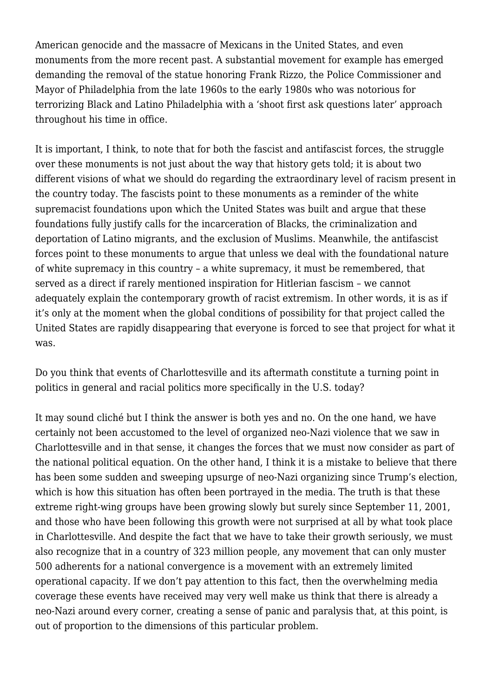American genocide and the massacre of Mexicans in the United States, and even monuments from the more recent past. A substantial movement for example has emerged demanding the removal of the statue honoring Frank Rizzo, the Police Commissioner and Mayor of Philadelphia from the late 1960s to the early 1980s who was notorious for terrorizing Black and Latino Philadelphia with a 'shoot first ask questions later' approach throughout his time in office.

It is important, I think, to note that for both the fascist and antifascist forces, the struggle over these monuments is not just about the way that history gets told; it is about two different visions of what we should do regarding the extraordinary level of racism present in the country today. The fascists point to these monuments as a reminder of the white supremacist foundations upon which the United States was built and argue that these foundations fully justify calls for the incarceration of Blacks, the criminalization and deportation of Latino migrants, and the exclusion of Muslims. Meanwhile, the antifascist forces point to these monuments to argue that unless we deal with the foundational nature of white supremacy in this country – a white supremacy, it must be remembered, that served as a direct if rarely mentioned inspiration for Hitlerian fascism – we cannot adequately explain the contemporary growth of racist extremism. In other words, it is as if it's only at the moment when the global conditions of possibility for that project called the United States are rapidly disappearing that everyone is forced to see that project for what it was.

Do you think that events of Charlottesville and its aftermath constitute a turning point in politics in general and racial politics more specifically in the U.S. today?

It may sound cliché but I think the answer is both yes and no. On the one hand, we have certainly not been accustomed to the level of organized neo-Nazi violence that we saw in Charlottesville and in that sense, it changes the forces that we must now consider as part of the national political equation. On the other hand, I think it is a mistake to believe that there has been some sudden and sweeping upsurge of neo-Nazi organizing since Trump's election, which is how this situation has often been portrayed in the media. The truth is that these extreme right-wing groups have been growing slowly but surely since September 11, 2001. and those who have been following this growth were not surprised at all by what took place in Charlottesville. And despite the fact that we have to take their growth seriously, we must also recognize that in a country of 323 million people, any movement that can only muster 500 adherents for a national convergence is a movement with an extremely limited operational capacity. If we don't pay attention to this fact, then the overwhelming media coverage these events have received may very well make us think that there is already a neo-Nazi around every corner, creating a sense of panic and paralysis that, at this point, is out of proportion to the dimensions of this particular problem.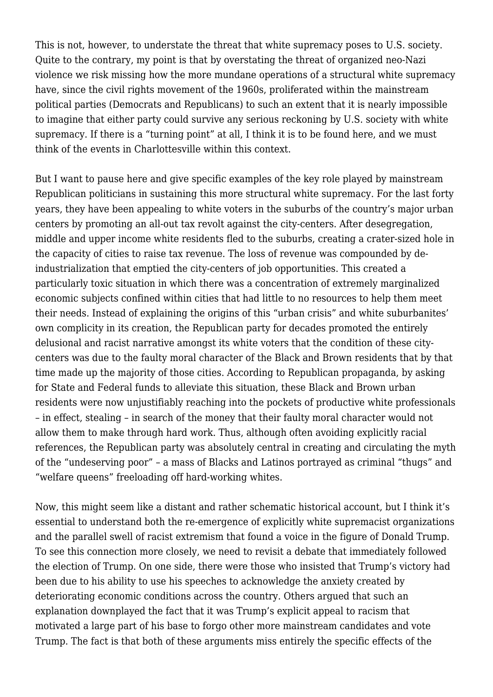This is not, however, to understate the threat that white supremacy poses to U.S. society. Quite to the contrary, my point is that by overstating the threat of organized neo-Nazi violence we risk missing how the more mundane operations of a structural white supremacy have, since the civil rights movement of the 1960s, proliferated within the mainstream political parties (Democrats and Republicans) to such an extent that it is nearly impossible to imagine that either party could survive any serious reckoning by U.S. society with white supremacy. If there is a "turning point" at all, I think it is to be found here, and we must think of the events in Charlottesville within this context.

But I want to pause here and give specific examples of the key role played by mainstream Republican politicians in sustaining this more structural white supremacy. For the last forty years, they have been appealing to white voters in the suburbs of the country's major urban centers by promoting an all-out tax revolt against the city-centers. After desegregation, middle and upper income white residents fled to the suburbs, creating a crater-sized hole in the capacity of cities to raise tax revenue. The loss of revenue was compounded by deindustrialization that emptied the city-centers of job opportunities. This created a particularly toxic situation in which there was a concentration of extremely marginalized economic subjects confined within cities that had little to no resources to help them meet their needs. Instead of explaining the origins of this "urban crisis" and white suburbanites' own complicity in its creation, the Republican party for decades promoted the entirely delusional and racist narrative amongst its white voters that the condition of these citycenters was due to the faulty moral character of the Black and Brown residents that by that time made up the majority of those cities. According to Republican propaganda, by asking for State and Federal funds to alleviate this situation, these Black and Brown urban residents were now unjustifiably reaching into the pockets of productive white professionals – in effect, stealing – in search of the money that their faulty moral character would not allow them to make through hard work. Thus, although often avoiding explicitly racial references, the Republican party was absolutely central in creating and circulating the myth of the "undeserving poor" – a mass of Blacks and Latinos portrayed as criminal "thugs" and "welfare queens" freeloading off hard-working whites.

Now, this might seem like a distant and rather schematic historical account, but I think it's essential to understand both the re-emergence of explicitly white supremacist organizations and the parallel swell of racist extremism that found a voice in the figure of Donald Trump. To see this connection more closely, we need to revisit a debate that immediately followed the election of Trump. On one side, there were those who insisted that Trump's victory had been due to his ability to use his speeches to acknowledge the anxiety created by deteriorating economic conditions across the country. Others argued that such an explanation downplayed the fact that it was Trump's explicit appeal to racism that motivated a large part of his base to forgo other more mainstream candidates and vote Trump. The fact is that both of these arguments miss entirely the specific effects of the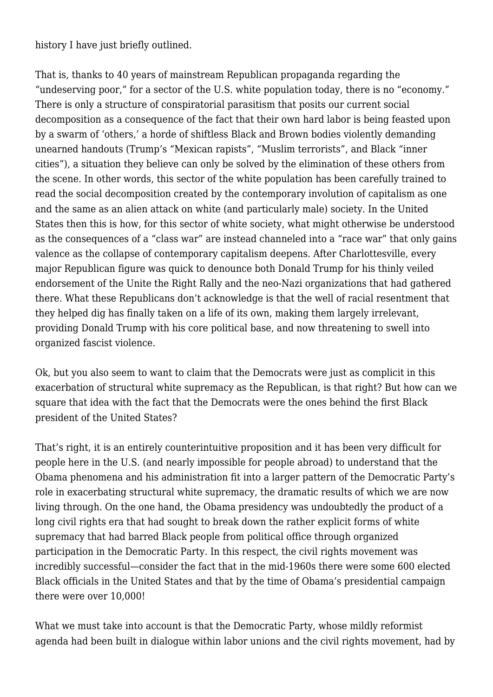history I have just briefly outlined.

That is, thanks to 40 years of mainstream Republican propaganda regarding the "undeserving poor," for a sector of the U.S. white population today, there is no "economy." There is only a structure of conspiratorial parasitism that posits our current social decomposition as a consequence of the fact that their own hard labor is being feasted upon by a swarm of 'others,' a horde of shiftless Black and Brown bodies violently demanding unearned handouts (Trump's "Mexican rapists", "Muslim terrorists", and Black "inner cities"), a situation they believe can only be solved by the elimination of these others from the scene. In other words, this sector of the white population has been carefully trained to read the social decomposition created by the contemporary involution of capitalism as one and the same as an alien attack on white (and particularly male) society. In the United States then this is how, for this sector of white society, what might otherwise be understood as the consequences of a "class war" are instead channeled into a "race war" that only gains valence as the collapse of contemporary capitalism deepens. After Charlottesville, every major Republican figure was quick to denounce both Donald Trump for his thinly veiled endorsement of the Unite the Right Rally and the neo-Nazi organizations that had gathered there. What these Republicans don't acknowledge is that the well of racial resentment that they helped dig has finally taken on a life of its own, making them largely irrelevant, providing Donald Trump with his core political base, and now threatening to swell into organized fascist violence.

Ok, but you also seem to want to claim that the Democrats were just as complicit in this exacerbation of structural white supremacy as the Republican, is that right? But how can we square that idea with the fact that the Democrats were the ones behind the first Black president of the United States?

That's right, it is an entirely counterintuitive proposition and it has been very difficult for people here in the U.S. (and nearly impossible for people abroad) to understand that the Obama phenomena and his administration fit into a larger pattern of the Democratic Party's role in exacerbating structural white supremacy, the dramatic results of which we are now living through. On the one hand, the Obama presidency was undoubtedly the product of a long civil rights era that had sought to break down the rather explicit forms of white supremacy that had barred Black people from political office through organized participation in the Democratic Party. In this respect, the civil rights movement was incredibly successful—consider the fact that in the mid-1960s there were some 600 elected Black officials in the United States and that by the time of Obama's presidential campaign there were over 10,000!

What we must take into account is that the Democratic Party, whose mildly reformist agenda had been built in dialogue within labor unions and the civil rights movement, had by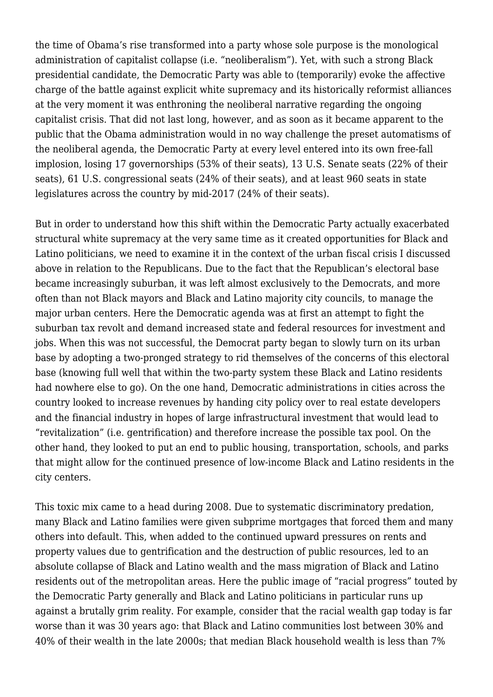the time of Obama's rise transformed into a party whose sole purpose is the monological administration of capitalist collapse (i.e. "neoliberalism"). Yet, with such a strong Black presidential candidate, the Democratic Party was able to (temporarily) evoke the affective charge of the battle against explicit white supremacy and its historically reformist alliances at the very moment it was enthroning the neoliberal narrative regarding the ongoing capitalist crisis. That did not last long, however, and as soon as it became apparent to the public that the Obama administration would in no way challenge the preset automatisms of the neoliberal agenda, the Democratic Party at every level entered into its own free-fall implosion, losing 17 governorships (53% of their seats), 13 U.S. Senate seats (22% of their seats), 61 U.S. congressional seats (24% of their seats), and at least 960 seats in state legislatures across the country by mid-2017 (24% of their seats).

But in order to understand how this shift within the Democratic Party actually exacerbated structural white supremacy at the very same time as it created opportunities for Black and Latino politicians, we need to examine it in the context of the urban fiscal crisis I discussed above in relation to the Republicans. Due to the fact that the Republican's electoral base became increasingly suburban, it was left almost exclusively to the Democrats, and more often than not Black mayors and Black and Latino majority city councils, to manage the major urban centers. Here the Democratic agenda was at first an attempt to fight the suburban tax revolt and demand increased state and federal resources for investment and jobs. When this was not successful, the Democrat party began to slowly turn on its urban base by adopting a two-pronged strategy to rid themselves of the concerns of this electoral base (knowing full well that within the two-party system these Black and Latino residents had nowhere else to go). On the one hand, Democratic administrations in cities across the country looked to increase revenues by handing city policy over to real estate developers and the financial industry in hopes of large infrastructural investment that would lead to "revitalization" (i.e. gentrification) and therefore increase the possible tax pool. On the other hand, they looked to put an end to public housing, transportation, schools, and parks that might allow for the continued presence of low-income Black and Latino residents in the city centers.

This toxic mix came to a head during 2008. Due to systematic discriminatory predation, many Black and Latino families were given subprime mortgages that forced them and many others into default. This, when added to the continued upward pressures on rents and property values due to gentrification and the destruction of public resources, led to an absolute collapse of Black and Latino wealth and the mass migration of Black and Latino residents out of the metropolitan areas. Here the public image of "racial progress" touted by the Democratic Party generally and Black and Latino politicians in particular runs up against a brutally grim reality. For example, consider that the racial wealth gap today is far worse than it was 30 years ago: that Black and Latino communities lost between 30% and 40% of their wealth in the late 2000s; that median Black household wealth is less than 7%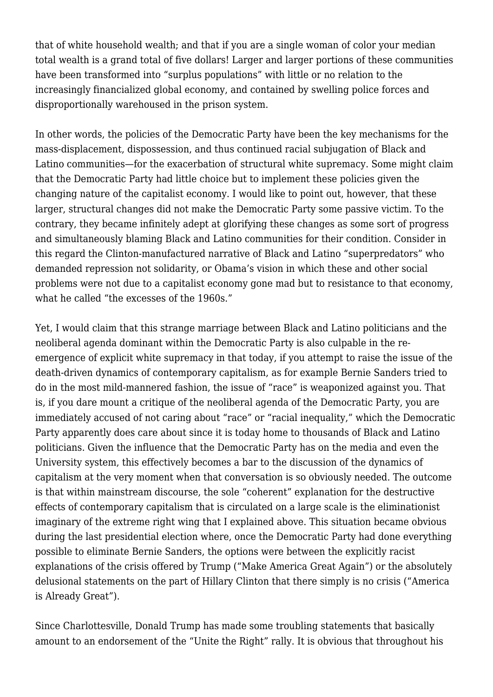that of white household wealth; and that if you are a single woman of color your median total wealth is a grand total of five dollars! Larger and larger portions of these communities have been transformed into "surplus populations" with little or no relation to the increasingly financialized global economy, and contained by swelling police forces and disproportionally warehoused in the prison system.

In other words, the policies of the Democratic Party have been the key mechanisms for the mass-displacement, dispossession, and thus continued racial subjugation of Black and Latino communities—for the exacerbation of structural white supremacy. Some might claim that the Democratic Party had little choice but to implement these policies given the changing nature of the capitalist economy. I would like to point out, however, that these larger, structural changes did not make the Democratic Party some passive victim. To the contrary, they became infinitely adept at glorifying these changes as some sort of progress and simultaneously blaming Black and Latino communities for their condition. Consider in this regard the Clinton-manufactured narrative of Black and Latino "superpredators" who demanded repression not solidarity, or Obama's vision in which these and other social problems were not due to a capitalist economy gone mad but to resistance to that economy, what he called "the excesses of the 1960s."

Yet, I would claim that this strange marriage between Black and Latino politicians and the neoliberal agenda dominant within the Democratic Party is also culpable in the reemergence of explicit white supremacy in that today, if you attempt to raise the issue of the death-driven dynamics of contemporary capitalism, as for example Bernie Sanders tried to do in the most mild-mannered fashion, the issue of "race" is weaponized against you. That is, if you dare mount a critique of the neoliberal agenda of the Democratic Party, you are immediately accused of not caring about "race" or "racial inequality," which the Democratic Party apparently does care about since it is today home to thousands of Black and Latino politicians. Given the influence that the Democratic Party has on the media and even the University system, this effectively becomes a bar to the discussion of the dynamics of capitalism at the very moment when that conversation is so obviously needed. The outcome is that within mainstream discourse, the sole "coherent" explanation for the destructive effects of contemporary capitalism that is circulated on a large scale is the eliminationist imaginary of the extreme right wing that I explained above. This situation became obvious during the last presidential election where, once the Democratic Party had done everything possible to eliminate Bernie Sanders, the options were between the explicitly racist explanations of the crisis offered by Trump ("Make America Great Again") or the absolutely delusional statements on the part of Hillary Clinton that there simply is no crisis ("America is Already Great").

Since Charlottesville, Donald Trump has made some troubling statements that basically amount to an endorsement of the "Unite the Right" rally. It is obvious that throughout his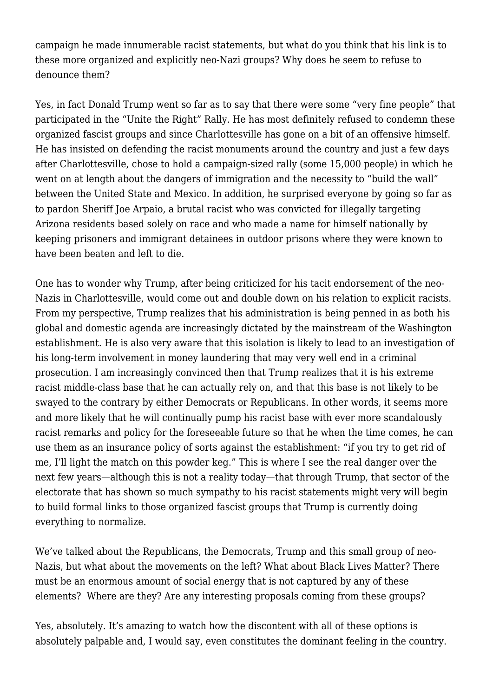campaign he made innumerable racist statements, but what do you think that his link is to these more organized and explicitly neo-Nazi groups? Why does he seem to refuse to denounce them?

Yes, in fact Donald Trump went so far as to say that there were some "very fine people" that participated in the "Unite the Right" Rally. He has most definitely refused to condemn these organized fascist groups and since Charlottesville has gone on a bit of an offensive himself. He has insisted on defending the racist monuments around the country and just a few days after Charlottesville, chose to hold a campaign-sized rally (some 15,000 people) in which he went on at length about the dangers of immigration and the necessity to "build the wall" between the United State and Mexico. In addition, he surprised everyone by going so far as to pardon Sheriff Joe Arpaio, a brutal racist who was convicted for illegally targeting Arizona residents based solely on race and who made a name for himself nationally by keeping prisoners and immigrant detainees in outdoor prisons where they were known to have been beaten and left to die.

One has to wonder why Trump, after being criticized for his tacit endorsement of the neo-Nazis in Charlottesville, would come out and double down on his relation to explicit racists. From my perspective, Trump realizes that his administration is being penned in as both his global and domestic agenda are increasingly dictated by the mainstream of the Washington establishment. He is also very aware that this isolation is likely to lead to an investigation of his long-term involvement in money laundering that may very well end in a criminal prosecution. I am increasingly convinced then that Trump realizes that it is his extreme racist middle-class base that he can actually rely on, and that this base is not likely to be swayed to the contrary by either Democrats or Republicans. In other words, it seems more and more likely that he will continually pump his racist base with ever more scandalously racist remarks and policy for the foreseeable future so that he when the time comes, he can use them as an insurance policy of sorts against the establishment: "if you try to get rid of me, I'll light the match on this powder keg." This is where I see the real danger over the next few years—although this is not a reality today—that through Trump, that sector of the electorate that has shown so much sympathy to his racist statements might very will begin to build formal links to those organized fascist groups that Trump is currently doing everything to normalize.

We've talked about the Republicans, the Democrats, Trump and this small group of neo-Nazis, but what about the movements on the left? What about Black Lives Matter? There must be an enormous amount of social energy that is not captured by any of these elements? Where are they? Are any interesting proposals coming from these groups?

Yes, absolutely. It's amazing to watch how the discontent with all of these options is absolutely palpable and, I would say, even constitutes the dominant feeling in the country.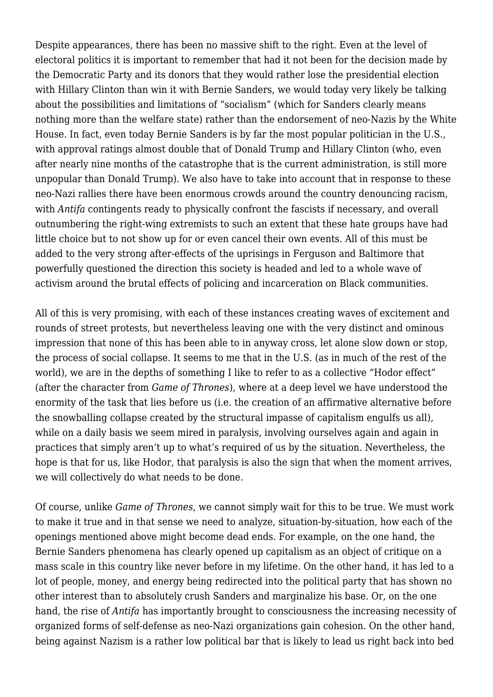Despite appearances, there has been no massive shift to the right. Even at the level of electoral politics it is important to remember that had it not been for the decision made by the Democratic Party and its donors that they would rather lose the presidential election with Hillary Clinton than win it with Bernie Sanders, we would today very likely be talking about the possibilities and limitations of "socialism" (which for Sanders clearly means nothing more than the welfare state) rather than the endorsement of neo-Nazis by the White House. In fact, even today Bernie Sanders is by far the most popular politician in the U.S., with approval ratings almost double that of Donald Trump and Hillary Clinton (who, even after nearly nine months of the catastrophe that is the current administration, is still more unpopular than Donald Trump). We also have to take into account that in response to these neo-Nazi rallies there have been enormous crowds around the country denouncing racism, with *Antifa* contingents ready to physically confront the fascists if necessary, and overall outnumbering the right-wing extremists to such an extent that these hate groups have had little choice but to not show up for or even cancel their own events. All of this must be added to the very strong after-effects of the uprisings in Ferguson and Baltimore that powerfully questioned the direction this society is headed and led to a whole wave of activism around the brutal effects of policing and incarceration on Black communities.

All of this is very promising, with each of these instances creating waves of excitement and rounds of street protests, but nevertheless leaving one with the very distinct and ominous impression that none of this has been able to in anyway cross, let alone slow down or stop, the process of social collapse. It seems to me that in the U.S. (as in much of the rest of the world), we are in the depths of something I like to refer to as a collective "Hodor effect" (after the character from *Game of Thrones*), where at a deep level we have understood the enormity of the task that lies before us (i.e. the creation of an affirmative alternative before the snowballing collapse created by the structural impasse of capitalism engulfs us all), while on a daily basis we seem mired in paralysis, involving ourselves again and again in practices that simply aren't up to what's required of us by the situation. Nevertheless, the hope is that for us, like Hodor, that paralysis is also the sign that when the moment arrives, we will collectively do what needs to be done.

Of course, unlike *Game of Thrones*, we cannot simply wait for this to be true. We must work to make it true and in that sense we need to analyze, situation-by-situation, how each of the openings mentioned above might become dead ends. For example, on the one hand, the Bernie Sanders phenomena has clearly opened up capitalism as an object of critique on a mass scale in this country like never before in my lifetime. On the other hand, it has led to a lot of people, money, and energy being redirected into the political party that has shown no other interest than to absolutely crush Sanders and marginalize his base. Or, on the one hand, the rise of *Antifa* has importantly brought to consciousness the increasing necessity of organized forms of self-defense as neo-Nazi organizations gain cohesion. On the other hand, being against Nazism is a rather low political bar that is likely to lead us right back into bed